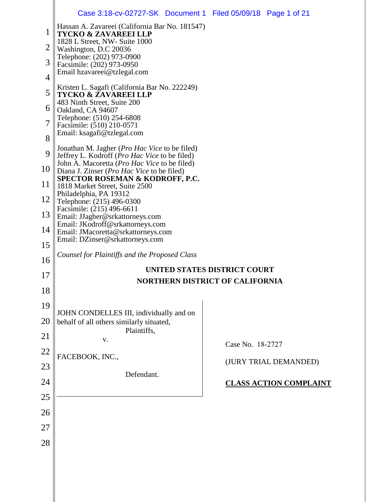|                | Case 3:18-cv-02727-SK Document 1 Filed 05/09/18 Page 1 of 21                                          |                  |                               |
|----------------|-------------------------------------------------------------------------------------------------------|------------------|-------------------------------|
| $\mathbf 1$    | Hassan A. Zavareei (California Bar No. 181547)<br><b>TYCKO &amp; ZAVAREEI LLP</b>                     |                  |                               |
| $\overline{2}$ | 1828 L Street, NW- Suite 1000<br>Washington, D.C 20036                                                |                  |                               |
| 3              | Telephone: (202) 973-0900                                                                             |                  |                               |
|                | Facsimile: (202) 973-0950<br>Email hzavareei@tzlegal.com                                              |                  |                               |
| $\overline{4}$ |                                                                                                       |                  |                               |
| 5              | Kristen L. Sagafi (California Bar No. 222249)<br><b>TYCKO &amp; ZAVAREEI LLP</b>                      |                  |                               |
| 6              | 483 Ninth Street, Suite 200<br>Oakland, CA 94607                                                      |                  |                               |
| $\overline{7}$ | Telephone: (510) 254-6808<br>Facsimile: (510) 210-0571                                                |                  |                               |
| 8              | Email: ksagafi@tzlegal.com                                                                            |                  |                               |
|                | Jonathan M. Jagher ( <i>Pro Hac Vice</i> to be filed)                                                 |                  |                               |
| 9              | Jeffrey L. Kodroff ( <i>Pro Hac Vice</i> to be filed)<br>John A. Macoretta (Pro Hac Vice to be filed) |                  |                               |
| 10             | Diana J. Zinser ( <i>Pro Hac Vice</i> to be filed)                                                    |                  |                               |
| 11             | <b>SPECTOR ROSEMAN &amp; KODROFF, P.C.</b><br>1818 Market Street, Suite 2500                          |                  |                               |
| 12             | Philadelphia, PA 19312<br>Telephone: (215) 496-0300                                                   |                  |                               |
| 13             | Facsimile: (215) 496-6611<br>Email: JJagher@srkattorneys.com                                          |                  |                               |
| 14             | Email: JKodroff@srkattorneys.com<br>Email: JMacoretta@srkattorneys.com                                |                  |                               |
| 15             | Email: DZinser@srkattorneys.com                                                                       |                  |                               |
|                | Counsel for Plaintiffs and the Proposed Class                                                         |                  |                               |
| 16             | UNITED STATES DISTRICT COURT                                                                          |                  |                               |
| 17             | <b>NORTHERN DISTRICT OF CALIFORNIA</b>                                                                |                  |                               |
|                |                                                                                                       |                  |                               |
| 18             |                                                                                                       |                  |                               |
| 19             |                                                                                                       |                  |                               |
|                | JOHN CONDELLES III, individually and on                                                               |                  |                               |
| 20             | behalf of all others similarly situated,<br>Plaintiffs,                                               |                  |                               |
| 21             | V.                                                                                                    | Case No. 18-2727 |                               |
| 22             | FACEBOOK, INC.,                                                                                       |                  |                               |
| 23             |                                                                                                       |                  | (JURY TRIAL DEMANDED)         |
| 24             | Defendant.                                                                                            |                  | <b>CLASS ACTION COMPLAINT</b> |
| 25             |                                                                                                       |                  |                               |
| 26             |                                                                                                       |                  |                               |
|                |                                                                                                       |                  |                               |
| 27             |                                                                                                       |                  |                               |
| 28             |                                                                                                       |                  |                               |
|                |                                                                                                       |                  |                               |
|                |                                                                                                       |                  |                               |
|                |                                                                                                       |                  |                               |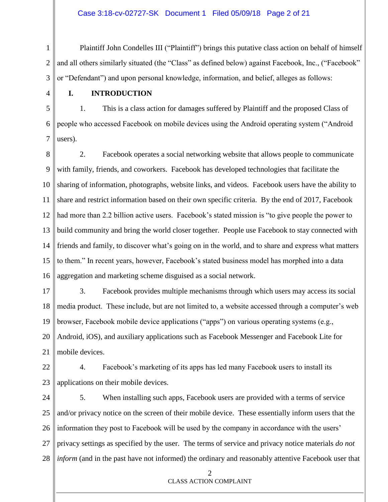### Case 3:18-cv-02727-SK Document 1 Filed 05/09/18 Page 2 of 21

1 2 3 Plaintiff John Condelles III ("Plaintiff") brings this putative class action on behalf of himself and all others similarly situated (the "Class" as defined below) against Facebook, Inc., ("Facebook" or "Defendant") and upon personal knowledge, information, and belief, alleges as follows:

4

### **I. INTRODUCTION**

5 6 7 1. This is a class action for damages suffered by Plaintiff and the proposed Class of people who accessed Facebook on mobile devices using the Android operating system ("Android users).

8 9 10 11 12 13 14 15 16 2. Facebook operates a social networking website that allows people to communicate with family, friends, and coworkers. Facebook has developed technologies that facilitate the sharing of information, photographs, website links, and videos. Facebook users have the ability to share and restrict information based on their own specific criteria. By the end of 2017, Facebook had more than 2.2 billion active users. Facebook's stated mission is "to give people the power to build community and bring the world closer together. People use Facebook to stay connected with friends and family, to discover what's going on in the world, and to share and express what matters to them." In recent years, however, Facebook's stated business model has morphed into a data aggregation and marketing scheme disguised as a social network.

17 18 19 20 21 3. Facebook provides multiple mechanisms through which users may access its social media product. These include, but are not limited to, a website accessed through a computer's web browser, Facebook mobile device applications ("apps") on various operating systems (e.g., Android, iOS), and auxiliary applications such as Facebook Messenger and Facebook Lite for mobile devices.

22 23 4. Facebook's marketing of its apps has led many Facebook users to install its applications on their mobile devices.

24 25 26 27 28 5. When installing such apps, Facebook users are provided with a terms of service and/or privacy notice on the screen of their mobile device. These essentially inform users that the information they post to Facebook will be used by the company in accordance with the users' privacy settings as specified by the user. The terms of service and privacy notice materials *do not inform* (and in the past have not informed) the ordinary and reasonably attentive Facebook user that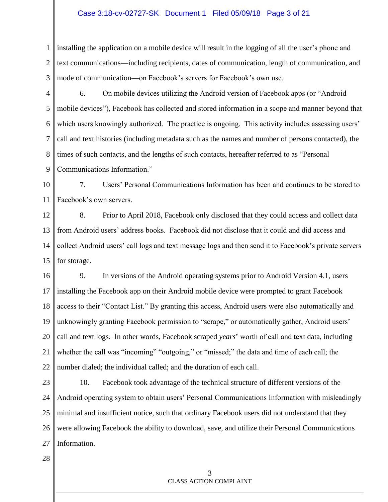#### Case 3:18-cv-02727-SK Document 1 Filed 05/09/18 Page 3 of 21

1 2 3 installing the application on a mobile device will result in the logging of all the user's phone and text communications—including recipients, dates of communication, length of communication, and mode of communication—on Facebook's servers for Facebook's own use.

4 5 6 7 8 9 6. On mobile devices utilizing the Android version of Facebook apps (or "Android mobile devices"), Facebook has collected and stored information in a scope and manner beyond that which users knowingly authorized. The practice is ongoing. This activity includes assessing users' call and text histories (including metadata such as the names and number of persons contacted), the times of such contacts, and the lengths of such contacts, hereafter referred to as "Personal Communications Information."

10 11 7. Users' Personal Communications Information has been and continues to be stored to Facebook's own servers.

12 13 14 15 8. Prior to April 2018, Facebook only disclosed that they could access and collect data from Android users' address books. Facebook did not disclose that it could and did access and collect Android users' call logs and text message logs and then send it to Facebook's private servers for storage.

16 17 18 19 20 21 22 9. In versions of the Android operating systems prior to Android Version 4.1, users installing the Facebook app on their Android mobile device were prompted to grant Facebook access to their "Contact List." By granting this access, Android users were also automatically and unknowingly granting Facebook permission to "scrape," or automatically gather, Android users' call and text logs. In other words, Facebook scraped *years*' worth of call and text data, including whether the call was "incoming" "outgoing," or "missed;" the data and time of each call; the number dialed; the individual called; and the duration of each call.

23 24 25 26 27 10. Facebook took advantage of the technical structure of different versions of the Android operating system to obtain users' Personal Communications Information with misleadingly minimal and insufficient notice, such that ordinary Facebook users did not understand that they were allowing Facebook the ability to download, save, and utilize their Personal Communications Information.

28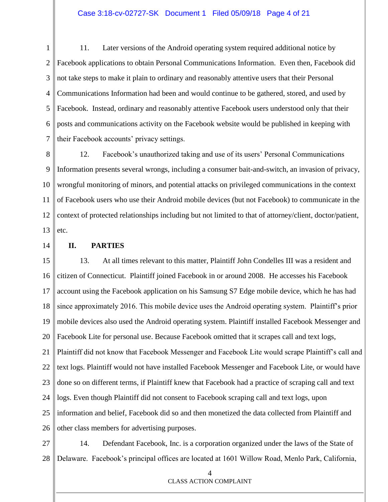#### Case 3:18-cv-02727-SK Document 1 Filed 05/09/18 Page 4 of 21

1 2 3 4 5 6 7 11. Later versions of the Android operating system required additional notice by Facebook applications to obtain Personal Communications Information. Even then, Facebook did not take steps to make it plain to ordinary and reasonably attentive users that their Personal Communications Information had been and would continue to be gathered, stored, and used by Facebook. Instead, ordinary and reasonably attentive Facebook users understood only that their posts and communications activity on the Facebook website would be published in keeping with their Facebook accounts' privacy settings.

8 9 10 11 12 13 12. Facebook's unauthorized taking and use of its users' Personal Communications Information presents several wrongs, including a consumer bait-and-switch, an invasion of privacy, wrongful monitoring of minors, and potential attacks on privileged communications in the context of Facebook users who use their Android mobile devices (but not Facebook) to communicate in the context of protected relationships including but not limited to that of attorney/client, doctor/patient, etc.

14

## **II. PARTIES**

15 16 17 18 19 20 21 22 23 24 25 26 13. At all times relevant to this matter, Plaintiff John Condelles III was a resident and citizen of Connecticut. Plaintiff joined Facebook in or around 2008. He accesses his Facebook account using the Facebook application on his Samsung S7 Edge mobile device, which he has had since approximately 2016. This mobile device uses the Android operating system. Plaintiff's prior mobile devices also used the Android operating system. Plaintiff installed Facebook Messenger and Facebook Lite for personal use. Because Facebook omitted that it scrapes call and text logs, Plaintiff did not know that Facebook Messenger and Facebook Lite would scrape Plaintiff's call and text logs. Plaintiff would not have installed Facebook Messenger and Facebook Lite, or would have done so on different terms, if Plaintiff knew that Facebook had a practice of scraping call and text logs. Even though Plaintiff did not consent to Facebook scraping call and text logs, upon information and belief, Facebook did so and then monetized the data collected from Plaintiff and other class members for advertising purposes.

27 28 14. Defendant Facebook, Inc. is a corporation organized under the laws of the State of Delaware. Facebook's principal offices are located at 1601 Willow Road, Menlo Park, California,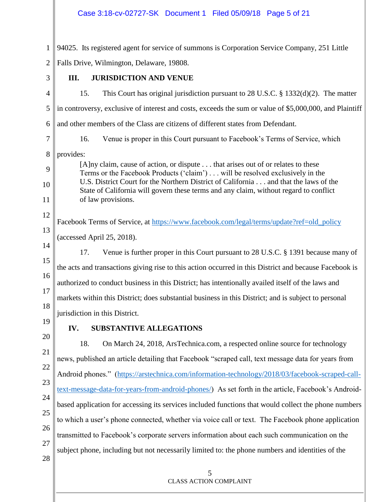## Case 3:18-cv-02727-SK Document 1 Filed 05/09/18 Page 5 of 21

1 2 94025. Its registered agent for service of summons is Corporation Service Company, 251 Little Falls Drive, Wilmington, Delaware, 19808.

3

7

## **III. JURISDICTION AND VENUE**

4 5 6 15. This Court has original jurisdiction pursuant to 28 U.S.C. § 1332(d)(2). The matter in controversy, exclusive of interest and costs, exceeds the sum or value of \$5,000,000, and Plaintiff and other members of the Class are citizens of different states from Defendant.

16. Venue is proper in this Court pursuant to Facebook's Terms of Service, which

#### 8 provides:

- 9 10 11 [A]ny claim, cause of action, or dispute . . . that arises out of or relates to these Terms or the Facebook Products ('claim') . . . will be resolved exclusively in the U.S. District Court for the Northern District of California . . . and that the laws of the State of California will govern these terms and any claim, without regard to conflict of law provisions.
- 12 13 Facebook Terms of Service, at https://www.facebook.com/legal/terms/update?ref=old\_policy (accessed April 25, 2018).
- 14

15 16 17 18 17. Venue is further proper in this Court pursuant to 28 U.S.C. § 1391 because many of the acts and transactions giving rise to this action occurred in this District and because Facebook is authorized to conduct business in this District; has intentionally availed itself of the laws and markets within this District; does substantial business in this District; and is subject to personal jurisdiction in this District.

19

## **IV. SUBSTANTIVE ALLEGATIONS**

20 21 22 23 24 25 26 27 28 18. On March 24, 2018, ArsTechnica.com, a respected online source for technology news, published an article detailing that Facebook "scraped call, text message data for years from Android phones." (https://arstechnica.com/information-technology/2018/03/facebook-scraped-calltext-message-data-for-years-from-android-phones/) As set forth in the article, Facebook's Androidbased application for accessing its services included functions that would collect the phone numbers to which a user's phone connected, whether via voice call or text. The Facebook phone application transmitted to Facebook's corporate servers information about each such communication on the subject phone, including but not necessarily limited to: the phone numbers and identities of the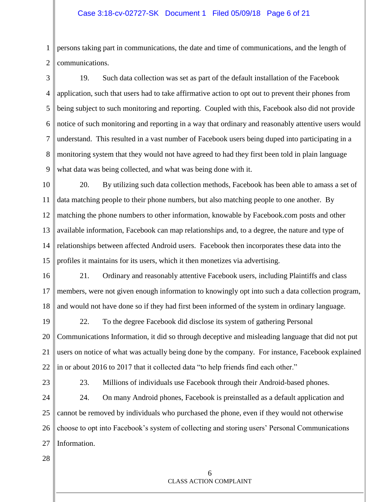#### Case 3:18-cv-02727-SK Document 1 Filed 05/09/18 Page 6 of 21

1 2 persons taking part in communications, the date and time of communications, and the length of communications.

3 4 5 6 7 8 9 19. Such data collection was set as part of the default installation of the Facebook application, such that users had to take affirmative action to opt out to prevent their phones from being subject to such monitoring and reporting. Coupled with this, Facebook also did not provide notice of such monitoring and reporting in a way that ordinary and reasonably attentive users would understand. This resulted in a vast number of Facebook users being duped into participating in a monitoring system that they would not have agreed to had they first been told in plain language what data was being collected, and what was being done with it.

10 11 12 13 14 15 20. By utilizing such data collection methods, Facebook has been able to amass a set of data matching people to their phone numbers, but also matching people to one another. By matching the phone numbers to other information, knowable by Facebook.com posts and other available information, Facebook can map relationships and, to a degree, the nature and type of relationships between affected Android users. Facebook then incorporates these data into the profiles it maintains for its users, which it then monetizes via advertising.

16 17 18 21. Ordinary and reasonably attentive Facebook users, including Plaintiffs and class members, were not given enough information to knowingly opt into such a data collection program, and would not have done so if they had first been informed of the system in ordinary language.

19 20 21 22 22. To the degree Facebook did disclose its system of gathering Personal Communications Information, it did so through deceptive and misleading language that did not put users on notice of what was actually being done by the company. For instance, Facebook explained in or about 2016 to 2017 that it collected data "to help friends find each other."

23

23. Millions of individuals use Facebook through their Android-based phones.

24 25 26 27 24. On many Android phones, Facebook is preinstalled as a default application and cannot be removed by individuals who purchased the phone, even if they would not otherwise choose to opt into Facebook's system of collecting and storing users' Personal Communications Information.

28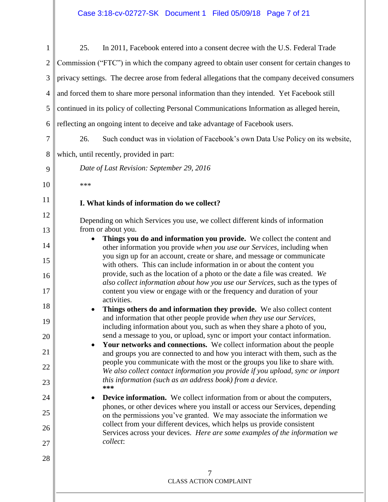| $\mathbf{1}$   | In 2011, Facebook entered into a consent decree with the U.S. Federal Trade<br>25.                                                                           |  |  |
|----------------|--------------------------------------------------------------------------------------------------------------------------------------------------------------|--|--|
| $\overline{c}$ | Commission ("FTC") in which the company agreed to obtain user consent for certain changes to                                                                 |  |  |
| 3              | privacy settings. The decree arose from federal allegations that the company deceived consumers                                                              |  |  |
| 4              | and forced them to share more personal information than they intended. Yet Facebook still                                                                    |  |  |
| 5              | continued in its policy of collecting Personal Communications Information as alleged herein,                                                                 |  |  |
| 6              | reflecting an ongoing intent to deceive and take advantage of Facebook users.                                                                                |  |  |
| $\overline{7}$ | Such conduct was in violation of Facebook's own Data Use Policy on its website,<br>26.                                                                       |  |  |
| 8              | which, until recently, provided in part:                                                                                                                     |  |  |
| 9              | Date of Last Revision: September 29, 2016                                                                                                                    |  |  |
| 10             | ***                                                                                                                                                          |  |  |
| 11             | I. What kinds of information do we collect?                                                                                                                  |  |  |
| 12             | Depending on which Services you use, we collect different kinds of information                                                                               |  |  |
| 13             | from or about you.                                                                                                                                           |  |  |
| 14             | Things you do and information you provide. We collect the content and<br>other information you provide when you use our Services, including when             |  |  |
| 15             | you sign up for an account, create or share, and message or communicate<br>with others. This can include information in or about the content you             |  |  |
| 16             | provide, such as the location of a photo or the date a file was created. We<br>also collect information about how you use our Services, such as the types of |  |  |
| 17             | content you view or engage with or the frequency and duration of your<br>activities.                                                                         |  |  |
| 18<br>19       | Things others do and information they provide. We also collect content<br>$\bullet$<br>and information that other people provide when they use our Services, |  |  |
| 20             | including information about you, such as when they share a photo of you,<br>send a message to you, or upload, sync or import your contact information.       |  |  |
| 21             | Your networks and connections. We collect information about the people<br>and groups you are connected to and how you interact with them, such as the        |  |  |
| 22             | people you communicate with the most or the groups you like to share with.<br>We also collect contact information you provide if you upload, sync or import  |  |  |
| 23             | this information (such as an address book) from a device.<br>***                                                                                             |  |  |
| 24             | <b>Device information.</b> We collect information from or about the computers,                                                                               |  |  |
| 25             | phones, or other devices where you install or access our Services, depending<br>on the permissions you've granted. We may associate the information we       |  |  |
| 26             | collect from your different devices, which helps us provide consistent<br>Services across your devices. Here are some examples of the information we         |  |  |
| 27             | collect:                                                                                                                                                     |  |  |
| 28             |                                                                                                                                                              |  |  |
|                | 7                                                                                                                                                            |  |  |
|                | <b>CLASS ACTION COMPLAINT</b>                                                                                                                                |  |  |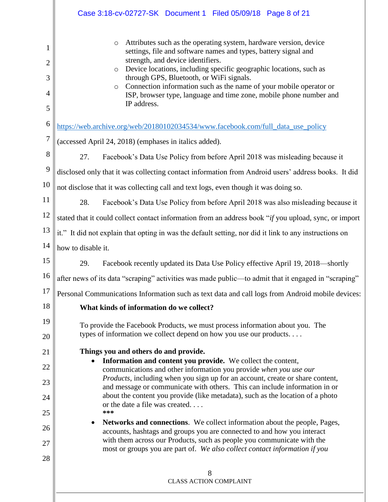|                                    | Case 3:18-cv-02727-SK Document 1 Filed 05/09/18 Page 8 of 21                                                                                                                                                                                                                                                                                                                                                                                                                            |  |  |
|------------------------------------|-----------------------------------------------------------------------------------------------------------------------------------------------------------------------------------------------------------------------------------------------------------------------------------------------------------------------------------------------------------------------------------------------------------------------------------------------------------------------------------------|--|--|
| 1<br>$\overline{2}$<br>3<br>4<br>5 | Attributes such as the operating system, hardware version, device<br>$\circ$<br>settings, file and software names and types, battery signal and<br>strength, and device identifiers.<br>Device locations, including specific geographic locations, such as<br>$\circ$<br>through GPS, Bluetooth, or WiFi signals.<br>Connection information such as the name of your mobile operator or<br>$\circ$<br>ISP, browser type, language and time zone, mobile phone number and<br>IP address. |  |  |
| 6                                  | https://web.archive.org/web/20180102034534/www.facebook.com/full_data_use_policy                                                                                                                                                                                                                                                                                                                                                                                                        |  |  |
| 7                                  | (accessed April 24, 2018) (emphases in italics added).                                                                                                                                                                                                                                                                                                                                                                                                                                  |  |  |
| 8                                  | 27.<br>Facebook's Data Use Policy from before April 2018 was misleading because it                                                                                                                                                                                                                                                                                                                                                                                                      |  |  |
| 9                                  | disclosed only that it was collecting contact information from Android users' address books. It did                                                                                                                                                                                                                                                                                                                                                                                     |  |  |
| 10                                 | not disclose that it was collecting call and text logs, even though it was doing so.                                                                                                                                                                                                                                                                                                                                                                                                    |  |  |
| 11                                 | 28.<br>Facebook's Data Use Policy from before April 2018 was also misleading because it                                                                                                                                                                                                                                                                                                                                                                                                 |  |  |
| 12                                 | stated that it could collect contact information from an address book "if you upload, sync, or import                                                                                                                                                                                                                                                                                                                                                                                   |  |  |
| 13                                 | it." It did not explain that opting in was the default setting, nor did it link to any instructions on                                                                                                                                                                                                                                                                                                                                                                                  |  |  |
| 14                                 | how to disable it.                                                                                                                                                                                                                                                                                                                                                                                                                                                                      |  |  |
| 15                                 | 29.<br>Facebook recently updated its Data Use Policy effective April 19, 2018—shortly                                                                                                                                                                                                                                                                                                                                                                                                   |  |  |
| 16                                 | after news of its data "scraping" activities was made public—to admit that it engaged in "scraping"                                                                                                                                                                                                                                                                                                                                                                                     |  |  |
| 17                                 | Personal Communications Information such as text data and call logs from Android mobile devices:                                                                                                                                                                                                                                                                                                                                                                                        |  |  |
| 18                                 | What kinds of information do we collect?                                                                                                                                                                                                                                                                                                                                                                                                                                                |  |  |
| 19                                 | To provide the Facebook Products, we must process information about you. The                                                                                                                                                                                                                                                                                                                                                                                                            |  |  |
| 20                                 | types of information we collect depend on how you use our products                                                                                                                                                                                                                                                                                                                                                                                                                      |  |  |
| 21                                 | Things you and others do and provide.<br>Information and content you provide. We collect the content,<br>$\bullet$                                                                                                                                                                                                                                                                                                                                                                      |  |  |
| 22                                 | communications and other information you provide when you use our<br><i>Products</i> , including when you sign up for an account, create or share content,                                                                                                                                                                                                                                                                                                                              |  |  |
| 23                                 | and message or communicate with others. This can include information in or                                                                                                                                                                                                                                                                                                                                                                                                              |  |  |
| 24                                 | about the content you provide (like metadata), such as the location of a photo<br>or the date a file was created                                                                                                                                                                                                                                                                                                                                                                        |  |  |
| 25                                 | ***<br>Networks and connections. We collect information about the people, Pages,                                                                                                                                                                                                                                                                                                                                                                                                        |  |  |
| 26                                 | accounts, hashtags and groups you are connected to and how you interact<br>with them across our Products, such as people you communicate with the                                                                                                                                                                                                                                                                                                                                       |  |  |
| 27                                 | most or groups you are part of. We also collect contact information if you                                                                                                                                                                                                                                                                                                                                                                                                              |  |  |
| 28                                 |                                                                                                                                                                                                                                                                                                                                                                                                                                                                                         |  |  |
|                                    | 8<br><b>CLASS ACTION COMPLAINT</b>                                                                                                                                                                                                                                                                                                                                                                                                                                                      |  |  |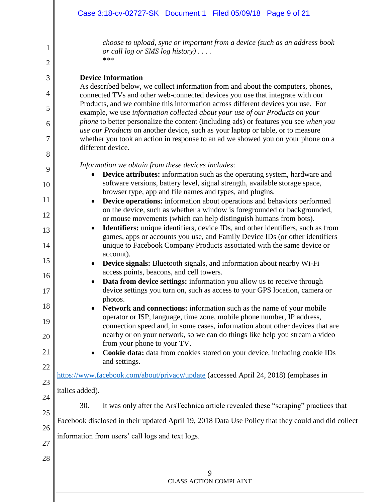*choose to upload, sync or important from a device (such as an address book or call log or SMS log history)* . . . . \*\*\*

1

2

3

4

5

6

7

8

9

10

11

12

13

14

15

16

17

18

19

20

21

22

As described below, we collect information from and about the computers, phones, connected TVs and other web-connected devices you use that integrate with our Products, and we combine this information across different devices you use. For example, we use *information collected about your use of our Products on your phone* to better personalize the content (including ads) or features you see *when you use our Products* on another device, such as your laptop or table, or to measure whether you took an action in response to an ad we showed you on your phone on a different device.

*Information we obtain from these devices includes*:

- **Device attributes:** information such as the operating system, hardware and software versions, battery level, signal strength, available storage space, browser type, app and file names and types, and plugins.
- **Device operations:** information about operations and behaviors performed on the device, such as whether a window is foregrounded or backgrounded, or mouse movements (which can help distinguish humans from bots).
- **Identifiers:** unique identifiers, device IDs, and other identifiers, such as from games, apps or accounts you use, and Family Device IDs (or other identifiers unique to Facebook Company Products associated with the same device or account).
	- **Device signals:** Bluetooth signals, and information about nearby Wi-Fi access points, beacons, and cell towers.
	- **Data from device settings:** information you allow us to receive through device settings you turn on, such as access to your GPS location, camera or photos.
- **Network and connections:** information such as the name of your mobile operator or ISP, language, time zone, mobile phone number, IP address, connection speed and, in some cases, information about other devices that are nearby or on your network, so we can do things like help you stream a video from your phone to your TV.
	- **Cookie data:** data from cookies stored on your device, including cookie IDs and settings.

```
23
https://www.facebook.com/about/privacy/update (accessed April 24, 2018) (emphases in 
italics added).
```
24 25

30. It was only after the ArsTechnica article revealed these "scraping" practices that

26 Facebook disclosed in their updated April 19, 2018 Data Use Policy that they could and did collect

information from users' call logs and text logs.

27 28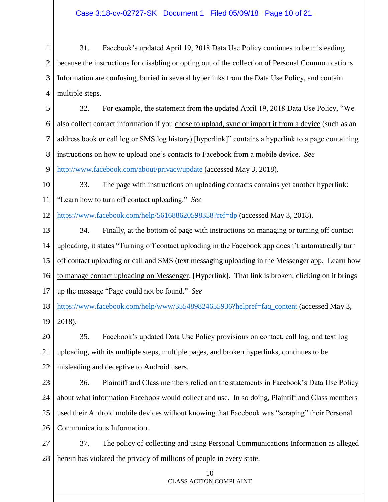1 2 3 4 31. Facebook's updated April 19, 2018 Data Use Policy continues to be misleading because the instructions for disabling or opting out of the collection of Personal Communications Information are confusing, buried in several hyperlinks from the Data Use Policy, and contain multiple steps.

5 6 7 8 9 32. For example, the statement from the updated April 19, 2018 Data Use Policy, "We also collect contact information if you chose to upload, sync or import it from a device (such as an address book or call log or SMS log history) [hyperlink]" contains a hyperlink to a page containing instructions on how to upload one's contacts to Facebook from a mobile device. *See*  http://www.facebook.com/about/privacy/update (accessed May 3, 2018).

10 11 33. The page with instructions on uploading contacts contains yet another hyperlink: "Learn how to turn off contact uploading." *See*

12 https://www.facebook.com/help/561688620598358?ref=dp (accessed May 3, 2018).

13 14 15 16 17 34. Finally, at the bottom of page with instructions on managing or turning off contact uploading, it states "Turning off contact uploading in the Facebook app doesn't automatically turn off contact uploading or call and SMS (text messaging uploading in the Messenger app. Learn how to manage contact uploading on Messenger. [Hyperlink]. That link is broken; clicking on it brings up the message "Page could not be found." *See*

18 19 https://www.facebook.com/help/www/355489824655936?helpref=faq\_content (accessed May 3, 2018).

20 21 22 35. Facebook's updated Data Use Policy provisions on contact, call log, and text log uploading, with its multiple steps, multiple pages, and broken hyperlinks, continues to be misleading and deceptive to Android users.

23 24 25 26 36. Plaintiff and Class members relied on the statements in Facebook's Data Use Policy about what information Facebook would collect and use. In so doing, Plaintiff and Class members used their Android mobile devices without knowing that Facebook was "scraping" their Personal Communications Information.

27 28 37. The policy of collecting and using Personal Communications Information as alleged herein has violated the privacy of millions of people in every state.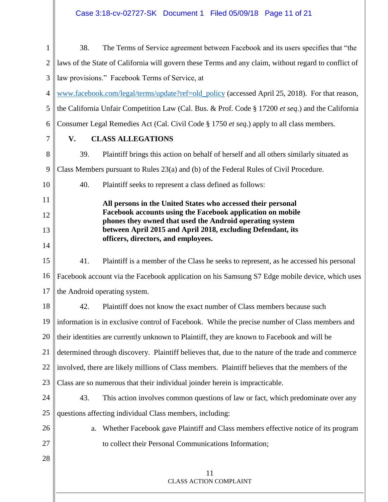| $\mathbf{1}$   | The Terms of Service agreement between Facebook and its users specifies that "the<br>38.                               |  |  |
|----------------|------------------------------------------------------------------------------------------------------------------------|--|--|
| $\overline{2}$ | laws of the State of California will govern these Terms and any claim, without regard to conflict of                   |  |  |
| 3              | law provisions." Facebook Terms of Service, at                                                                         |  |  |
| $\overline{4}$ | www.facebook.com/legal/terms/update?ref=old_policy (accessed April 25, 2018). For that reason,                         |  |  |
| 5              | the California Unfair Competition Law (Cal. Bus. & Prof. Code § 17200 et seq.) and the California                      |  |  |
| 6              | Consumer Legal Remedies Act (Cal. Civil Code § 1750 et seq.) apply to all class members.                               |  |  |
| $\overline{7}$ | <b>CLASS ALLEGATIONS</b><br>V.                                                                                         |  |  |
| 8              | 39.<br>Plaintiff brings this action on behalf of herself and all others similarly situated as                          |  |  |
| 9              | Class Members pursuant to Rules 23(a) and (b) of the Federal Rules of Civil Procedure.                                 |  |  |
| 10             | 40.<br>Plaintiff seeks to represent a class defined as follows:                                                        |  |  |
| 11             | All persons in the United States who accessed their personal                                                           |  |  |
| 12             | Facebook accounts using the Facebook application on mobile<br>phones they owned that used the Android operating system |  |  |
| 13             | between April 2015 and April 2018, excluding Defendant, its                                                            |  |  |
| 14             | officers, directors, and employees.                                                                                    |  |  |
| 15             | 41.<br>Plaintiff is a member of the Class he seeks to represent, as he accessed his personal                           |  |  |
| 16             | Facebook account via the Facebook application on his Samsung S7 Edge mobile device, which uses                         |  |  |
| 17             | the Android operating system.                                                                                          |  |  |
| 18             | 42.<br>Plaintiff does not know the exact number of Class members because such                                          |  |  |
| 19             | la information is in exclusive control of Facebook. While the precise number of Class members and                      |  |  |
| 20             | their identities are currently unknown to Plaintiff, they are known to Facebook and will be                            |  |  |
| 21             | determined through discovery. Plaintiff believes that, due to the nature of the trade and commerce                     |  |  |
| 22             | involved, there are likely millions of Class members. Plaintiff believes that the members of the                       |  |  |
| 23             | Class are so numerous that their individual joinder herein is impracticable.                                           |  |  |
| 24             | 43.<br>This action involves common questions of law or fact, which predominate over any                                |  |  |
| 25             | questions affecting individual Class members, including:                                                               |  |  |
| 26             | Whether Facebook gave Plaintiff and Class members effective notice of its program<br>a.                                |  |  |
| 27             | to collect their Personal Communications Information;                                                                  |  |  |
| 28             |                                                                                                                        |  |  |
|                | 11<br><b>CLASS ACTION COMPLAINT</b>                                                                                    |  |  |
|                |                                                                                                                        |  |  |

∥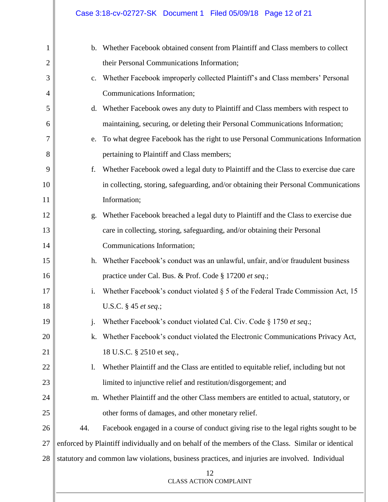# Case 3:18-cv-02727-SK Document 1 Filed 05/09/18 Page 12 of 21

| 1  | b.             | Whether Facebook obtained consent from Plaintiff and Class members to collect                      |
|----|----------------|----------------------------------------------------------------------------------------------------|
| 2  |                | their Personal Communications Information;                                                         |
| 3  | c.             | Whether Facebook improperly collected Plaintiff's and Class members' Personal                      |
| 4  |                | Communications Information;                                                                        |
| 5  | $d_{\cdot}$    | Whether Facebook owes any duty to Plaintiff and Class members with respect to                      |
| 6  |                | maintaining, securing, or deleting their Personal Communications Information;                      |
| 7  | e.             | To what degree Facebook has the right to use Personal Communications Information                   |
| 8  |                | pertaining to Plaintiff and Class members;                                                         |
| 9  | f.             | Whether Facebook owed a legal duty to Plaintiff and the Class to exercise due care                 |
| 10 |                | in collecting, storing, safeguarding, and/or obtaining their Personal Communications               |
| 11 |                | Information;                                                                                       |
| 12 | g.             | Whether Facebook breached a legal duty to Plaintiff and the Class to exercise due                  |
| 13 |                | care in collecting, storing, safeguarding, and/or obtaining their Personal                         |
| 14 |                | Communications Information;                                                                        |
| 15 | h.             | Whether Facebook's conduct was an unlawful, unfair, and/or fraudulent business                     |
| 16 |                | practice under Cal. Bus. & Prof. Code § 17200 et seq.;                                             |
| 17 | i.             | Whether Facebook's conduct violated $\S$ 5 of the Federal Trade Commission Act, 15                 |
| 18 |                | U.S.C. $§ 45$ et seq.;                                                                             |
| 19 |                | Whether Facebook's conduct violated Cal. Civ. Code § 1750 et seq.;                                 |
| 20 | k.             | Whether Facebook's conduct violated the Electronic Communications Privacy Act,                     |
| 21 |                | 18 U.S.C. § 2510 et seq.,                                                                          |
| 22 | $\mathbf{l}$ . | Whether Plaintiff and the Class are entitled to equitable relief, including but not                |
| 23 |                | limited to injunctive relief and restitution/disgorgement; and                                     |
| 24 |                | m. Whether Plaintiff and the other Class members are entitled to actual, statutory, or             |
| 25 |                | other forms of damages, and other monetary relief.                                                 |
| 26 | 44.            | Facebook engaged in a course of conduct giving rise to the legal rights sought to be               |
| 27 |                | enforced by Plaintiff individually and on behalf of the members of the Class. Similar or identical |
| 28 |                | statutory and common law violations, business practices, and injuries are involved. Individual     |
|    |                | 12<br><b>CLASS ACTION COMPLAINT</b>                                                                |
|    |                |                                                                                                    |
|    |                |                                                                                                    |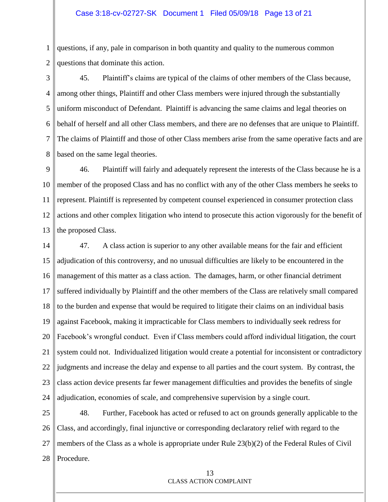#### Case 3:18-cv-02727-SK Document 1 Filed 05/09/18 Page 13 of 21

1 2 questions, if any, pale in comparison in both quantity and quality to the numerous common questions that dominate this action.

3 4 5 6 7 8 45. Plaintiff's claims are typical of the claims of other members of the Class because, among other things, Plaintiff and other Class members were injured through the substantially uniform misconduct of Defendant. Plaintiff is advancing the same claims and legal theories on behalf of herself and all other Class members, and there are no defenses that are unique to Plaintiff. The claims of Plaintiff and those of other Class members arise from the same operative facts and are based on the same legal theories.

9 10 11 12 13 46. Plaintiff will fairly and adequately represent the interests of the Class because he is a member of the proposed Class and has no conflict with any of the other Class members he seeks to represent. Plaintiff is represented by competent counsel experienced in consumer protection class actions and other complex litigation who intend to prosecute this action vigorously for the benefit of the proposed Class.

14 15 16 17 18 19 20 21 22 23 24 47. A class action is superior to any other available means for the fair and efficient adjudication of this controversy, and no unusual difficulties are likely to be encountered in the management of this matter as a class action. The damages, harm, or other financial detriment suffered individually by Plaintiff and the other members of the Class are relatively small compared to the burden and expense that would be required to litigate their claims on an individual basis against Facebook, making it impracticable for Class members to individually seek redress for Facebook's wrongful conduct. Even if Class members could afford individual litigation, the court system could not. Individualized litigation would create a potential for inconsistent or contradictory judgments and increase the delay and expense to all parties and the court system. By contrast, the class action device presents far fewer management difficulties and provides the benefits of single adjudication, economies of scale, and comprehensive supervision by a single court.

25 26 27 28 48. Further, Facebook has acted or refused to act on grounds generally applicable to the Class, and accordingly, final injunctive or corresponding declaratory relief with regard to the members of the Class as a whole is appropriate under Rule 23(b)(2) of the Federal Rules of Civil Procedure.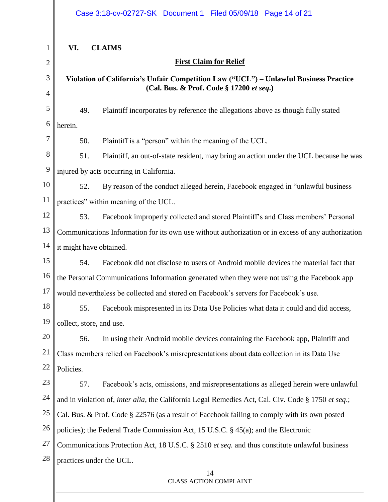∥

| $\mathbf{1}$   | VI.<br><b>CLAIMS</b>                                                                                       |  |  |
|----------------|------------------------------------------------------------------------------------------------------------|--|--|
| $\overline{2}$ | <b>First Claim for Relief</b>                                                                              |  |  |
| 3              | Violation of California's Unfair Competition Law ("UCL") - Unlawful Business Practice                      |  |  |
| $\overline{4}$ | (Cal. Bus. & Prof. Code § 17200 et seq.)                                                                   |  |  |
| 5              | 49.<br>Plaintiff incorporates by reference the allegations above as though fully stated                    |  |  |
| 6              | herein.                                                                                                    |  |  |
| 7              | 50.<br>Plaintiff is a "person" within the meaning of the UCL.                                              |  |  |
| 8              | Plaintiff, an out-of-state resident, may bring an action under the UCL because he was<br>51.               |  |  |
| 9              | injured by acts occurring in California.                                                                   |  |  |
| 10             | 52.<br>By reason of the conduct alleged herein, Facebook engaged in "unlawful business"                    |  |  |
| 11             | practices" within meaning of the UCL.                                                                      |  |  |
| 12             | 53.<br>Facebook improperly collected and stored Plaintiff's and Class members' Personal                    |  |  |
| 13             | Communications Information for its own use without authorization or in excess of any authorization         |  |  |
| 14             | it might have obtained.                                                                                    |  |  |
| 15             | 54.<br>Facebook did not disclose to users of Android mobile devices the material fact that                 |  |  |
| 16             | the Personal Communications Information generated when they were not using the Facebook app                |  |  |
| 17             | would nevertheless be collected and stored on Facebook's servers for Facebook's use.                       |  |  |
| 18             | Facebook mispresented in its Data Use Policies what data it could and did access,<br>55.                   |  |  |
| 19             | collect, store, and use.                                                                                   |  |  |
| 20             | 56.<br>In using their Android mobile devices containing the Facebook app, Plaintiff and                    |  |  |
| 21             | Class members relied on Facebook's misrepresentations about data collection in its Data Use                |  |  |
| 22             | Policies.                                                                                                  |  |  |
| 23             | 57.<br>Facebook's acts, omissions, and misrepresentations as alleged herein were unlawful                  |  |  |
| 24             | and in violation of, <i>inter alia</i> , the California Legal Remedies Act, Cal. Civ. Code § 1750 et seq.; |  |  |
| 25             | Cal. Bus. & Prof. Code § 22576 (as a result of Facebook failing to comply with its own posted              |  |  |
| 26             | policies); the Federal Trade Commission Act, 15 U.S.C. § 45(a); and the Electronic                         |  |  |
| 27             | Communications Protection Act, 18 U.S.C. § 2510 et seq. and thus constitute unlawful business              |  |  |
| 28             | practices under the UCL.                                                                                   |  |  |

#### 14 CLASS ACTION COMPLAINT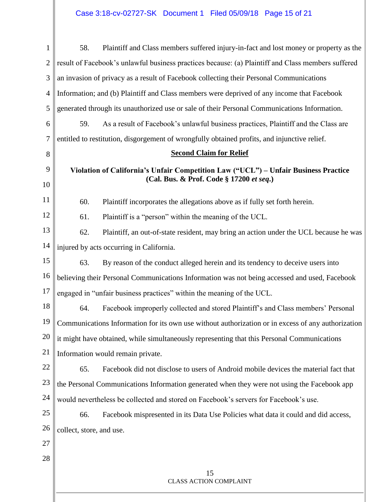# Case 3:18-cv-02727-SK Document 1 Filed 05/09/18 Page 15 of 21

| 1              | Plaintiff and Class members suffered injury-in-fact and lost money or property as the<br>58.       |  |
|----------------|----------------------------------------------------------------------------------------------------|--|
| $\overline{c}$ | result of Facebook's unlawful business practices because: (a) Plaintiff and Class members suffered |  |
| 3              | an invasion of privacy as a result of Facebook collecting their Personal Communications            |  |
| 4              | Information; and (b) Plaintiff and Class members were deprived of any income that Facebook         |  |
| 5              | generated through its unauthorized use or sale of their Personal Communications Information.       |  |
| 6              | As a result of Facebook's unlawful business practices, Plaintiff and the Class are<br>59.          |  |
| 7              | entitled to restitution, disgorgement of wrongfully obtained profits, and injunctive relief.       |  |
| 8              | <b>Second Claim for Relief</b>                                                                     |  |
| 9              | Violation of California's Unfair Competition Law ("UCL") - Unfair Business Practice                |  |
| 10             | (Cal. Bus. & Prof. Code § 17200 et seq.)                                                           |  |
| 11             | 60.<br>Plaintiff incorporates the allegations above as if fully set forth herein.                  |  |
| 12             | Plaintiff is a "person" within the meaning of the UCL.<br>61.                                      |  |
| 13             | 62.<br>Plaintiff, an out-of-state resident, may bring an action under the UCL because he was       |  |
| 14             | injured by acts occurring in California.                                                           |  |
| 15             | 63.<br>By reason of the conduct alleged herein and its tendency to deceive users into              |  |
| 16             | believing their Personal Communications Information was not being accessed and used, Facebook      |  |
| 17             | engaged in "unfair business practices" within the meaning of the UCL.                              |  |
| 18             | 64.<br>Facebook improperly collected and stored Plaintiff's and Class members' Personal            |  |
| 19             | Communications Information for its own use without authorization or in excess of any authorization |  |
| 20             | it might have obtained, while simultaneously representing that this Personal Communications        |  |
| 21             | Information would remain private.                                                                  |  |
| 22             | 65.<br>Facebook did not disclose to users of Android mobile devices the material fact that         |  |
| 23             | the Personal Communications Information generated when they were not using the Facebook app        |  |
| 24             | would nevertheless be collected and stored on Facebook's servers for Facebook's use.               |  |
| 25             | Facebook mispresented in its Data Use Policies what data it could and did access,<br>66.           |  |
| 26             | collect, store, and use.                                                                           |  |
| 27             |                                                                                                    |  |
| 28             |                                                                                                    |  |
|                | 15<br><b>CLASS ACTION COMPLAINT</b>                                                                |  |
|                |                                                                                                    |  |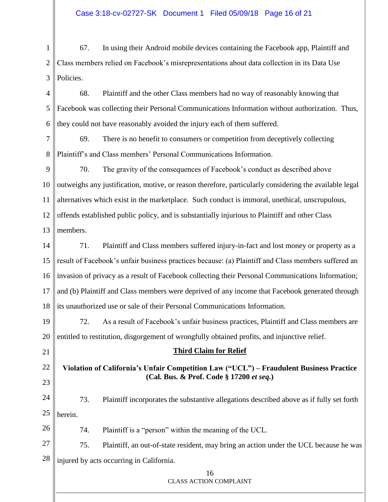## Case 3:18-cv-02727-SK Document 1 Filed 05/09/18 Page 16 of 21

1 2 3 67. In using their Android mobile devices containing the Facebook app, Plaintiff and Class members relied on Facebook's misrepresentations about data collection in its Data Use Policies.

4 5 6 68. Plaintiff and the other Class members had no way of reasonably knowing that Facebook was collecting their Personal Communications Information without authorization. Thus, they could not have reasonably avoided the injury each of them suffered.

7 8 69. There is no benefit to consumers or competition from deceptively collecting Plaintiff's and Class members' Personal Communications Information.

9 10 11 12 13 70. The gravity of the consequences of Facebook's conduct as described above outweighs any justification, motive, or reason therefore, particularly considering the available legal alternatives which exist in the marketplace. Such conduct is immoral, unethical, unscrupulous, offends established public policy, and is substantially injurious to Plaintiff and other Class members.

14 15 16 17 18 71. Plaintiff and Class members suffered injury-in-fact and lost money or property as a result of Facebook's unfair business practices because: (a) Plaintiff and Class members suffered an invasion of privacy as a result of Facebook collecting their Personal Communications Information; and (b) Plaintiff and Class members were deprived of any income that Facebook generated through its unauthorized use or sale of their Personal Communications Information.

19 20 72. As a result of Facebook's unfair business practices, Plaintiff and Class members are entitled to restitution, disgorgement of wrongfully obtained profits, and injunctive relief.

21

**Third Claim for Relief**

#### 22 23 **Violation of California's Unfair Competition Law ("UCL") – Fraudulent Business Practice (Cal. Bus. & Prof. Code § 17200** *et seq***.)**

24 25 73. Plaintiff incorporates the substantive allegations described above as if fully set forth herein.

26 74. Plaintiff is a "person" within the meaning of the UCL.

27 28 75. Plaintiff, an out-of-state resident, may bring an action under the UCL because he was injured by acts occurring in California.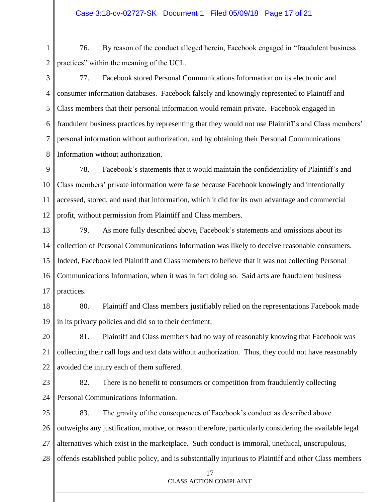1 2 76. By reason of the conduct alleged herein, Facebook engaged in "fraudulent business practices" within the meaning of the UCL.

3 4 5 6 7 8 77. Facebook stored Personal Communications Information on its electronic and consumer information databases. Facebook falsely and knowingly represented to Plaintiff and Class members that their personal information would remain private. Facebook engaged in fraudulent business practices by representing that they would not use Plaintiff's and Class members' personal information without authorization, and by obtaining their Personal Communications Information without authorization.

9 10 11 12 78. Facebook's statements that it would maintain the confidentiality of Plaintiff's and Class members' private information were false because Facebook knowingly and intentionally accessed, stored, and used that information, which it did for its own advantage and commercial profit, without permission from Plaintiff and Class members.

13 14 15 16 17 79. As more fully described above, Facebook's statements and omissions about its collection of Personal Communications Information was likely to deceive reasonable consumers. Indeed, Facebook led Plaintiff and Class members to believe that it was not collecting Personal Communications Information, when it was in fact doing so. Said acts are fraudulent business practices.

18 19 80. Plaintiff and Class members justifiably relied on the representations Facebook made in its privacy policies and did so to their detriment.

20 21 22 81. Plaintiff and Class members had no way of reasonably knowing that Facebook was collecting their call logs and text data without authorization. Thus, they could not have reasonably avoided the injury each of them suffered.

23

24

82. There is no benefit to consumers or competition from fraudulently collecting Personal Communications Information.

25 26 27 28 83. The gravity of the consequences of Facebook's conduct as described above outweighs any justification, motive, or reason therefore, particularly considering the available legal alternatives which exist in the marketplace. Such conduct is immoral, unethical, unscrupulous, offends established public policy, and is substantially injurious to Plaintiff and other Class members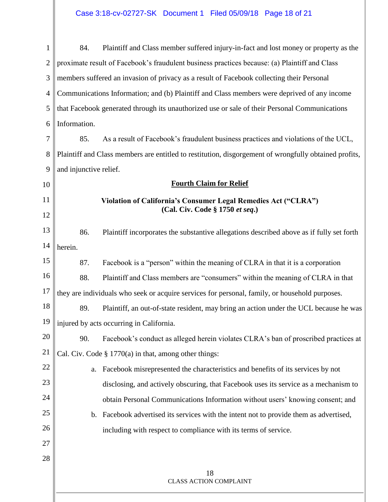$\mathbb I$ 

| 1              | 84.                                                                                                   | Plaintiff and Class member suffered injury-in-fact and lost money or property as the           |  |
|----------------|-------------------------------------------------------------------------------------------------------|------------------------------------------------------------------------------------------------|--|
| $\overline{c}$ | proximate result of Facebook's fraudulent business practices because: (a) Plaintiff and Class         |                                                                                                |  |
| 3              | members suffered an invasion of privacy as a result of Facebook collecting their Personal             |                                                                                                |  |
| $\overline{4}$ | Communications Information; and (b) Plaintiff and Class members were deprived of any income           |                                                                                                |  |
| 5              | that Facebook generated through its unauthorized use or sale of their Personal Communications         |                                                                                                |  |
| 6              | Information.                                                                                          |                                                                                                |  |
| 7              | 85.                                                                                                   | As a result of Facebook's fraudulent business practices and violations of the UCL,             |  |
| 8              | Plaintiff and Class members are entitled to restitution, disgorgement of wrongfully obtained profits, |                                                                                                |  |
| 9              | and injunctive relief.                                                                                |                                                                                                |  |
| 10             |                                                                                                       | <b>Fourth Claim for Relief</b>                                                                 |  |
| 11             |                                                                                                       | Violation of California's Consumer Legal Remedies Act ("CLRA")                                 |  |
| 12             |                                                                                                       | (Cal. Civ. Code § 1750 et seq.)                                                                |  |
| 13             | 86.                                                                                                   | Plaintiff incorporates the substantive allegations described above as if fully set forth       |  |
| 14             | herein.                                                                                               |                                                                                                |  |
| 15             | 87.                                                                                                   | Facebook is a "person" within the meaning of CLRA in that it is a corporation                  |  |
| 16             | 88.                                                                                                   | Plaintiff and Class members are "consumers" within the meaning of CLRA in that                 |  |
| 17             |                                                                                                       | they are individuals who seek or acquire services for personal, family, or household purposes. |  |
| 18             | 89.                                                                                                   | Plaintiff, an out-of-state resident, may bring an action under the UCL because he was          |  |
| 19             | injured by acts occurring in California.                                                              |                                                                                                |  |
| 20             | 90.                                                                                                   | Facebook's conduct as alleged herein violates CLRA's ban of proscribed practices at            |  |
| 21             |                                                                                                       | Cal. Civ. Code § 1770(a) in that, among other things:                                          |  |
| 22             | a.                                                                                                    | Facebook misrepresented the characteristics and benefits of its services by not                |  |
| 23             |                                                                                                       | disclosing, and actively obscuring, that Facebook uses its service as a mechanism to           |  |
| 24             |                                                                                                       | obtain Personal Communications Information without users' knowing consent; and                 |  |
| 25             | b.                                                                                                    | Facebook advertised its services with the intent not to provide them as advertised,            |  |
| 26             |                                                                                                       | including with respect to compliance with its terms of service.                                |  |
| 27             |                                                                                                       |                                                                                                |  |
| 28             |                                                                                                       |                                                                                                |  |
|                |                                                                                                       | 18<br><b>CLASS ACTION COMPLAINT</b>                                                            |  |
|                |                                                                                                       |                                                                                                |  |
|                |                                                                                                       |                                                                                                |  |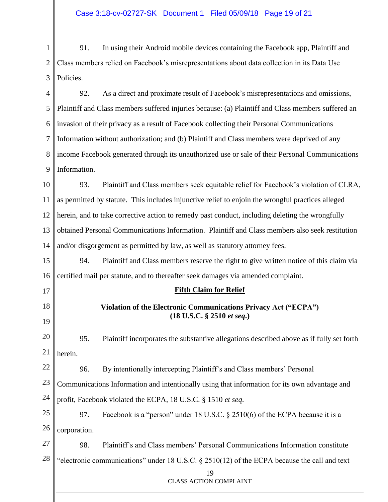## Case 3:18-cv-02727-SK Document 1 Filed 05/09/18 Page 19 of 21

1 2 3 91. In using their Android mobile devices containing the Facebook app, Plaintiff and Class members relied on Facebook's misrepresentations about data collection in its Data Use Policies.

4 5 6 7 8 9 92. As a direct and proximate result of Facebook's misrepresentations and omissions, Plaintiff and Class members suffered injuries because: (a) Plaintiff and Class members suffered an invasion of their privacy as a result of Facebook collecting their Personal Communications Information without authorization; and (b) Plaintiff and Class members were deprived of any income Facebook generated through its unauthorized use or sale of their Personal Communications Information.

10 11 12 13 14 93. Plaintiff and Class members seek equitable relief for Facebook's violation of CLRA, as permitted by statute. This includes injunctive relief to enjoin the wrongful practices alleged herein, and to take corrective action to remedy past conduct, including deleting the wrongfully obtained Personal Communications Information. Plaintiff and Class members also seek restitution and/or disgorgement as permitted by law, as well as statutory attorney fees.

15 16 94. Plaintiff and Class members reserve the right to give written notice of this claim via certified mail per statute, and to thereafter seek damages via amended complaint.

17

18

19

**Fifth Claim for Relief**

## **Violation of the Electronic Communications Privacy Act ("ECPA") (18 U.S.C. § 2510** *et seq***.)**

20 21 95. Plaintiff incorporates the substantive allegations described above as if fully set forth herein.

22 23 24 96. By intentionally intercepting Plaintiff's and Class members' Personal Communications Information and intentionally using that information for its own advantage and profit, Facebook violated the ECPA, 18 U.S.C. § 1510 *et seq*.

25 26 97. Facebook is a "person" under 18 U.S.C. § 2510(6) of the ECPA because it is a corporation.

19 27 28 98. Plaintiff's and Class members' Personal Communications Information constitute "electronic communications" under 18 U.S.C. § 2510(12) of the ECPA because the call and text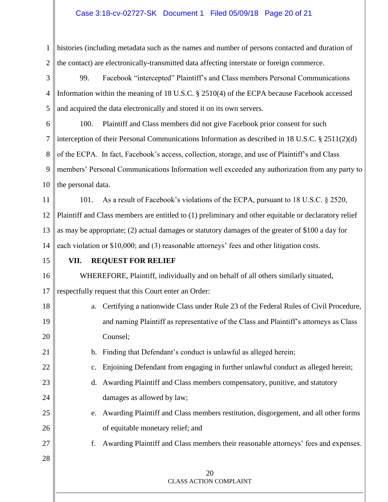## Case 3:18-cv-02727-SK Document 1 Filed 05/09/18 Page 20 of 21

1 2 histories (including metadata such as the names and number of persons contacted and duration of the contact) are electronically-transmitted data affecting interstate or foreign commerce.

3 4 5 99. Facebook "intercepted" Plaintiff's and Class members Personal Communications Information within the meaning of 18 U.S.C. § 2510(4) of the ECPA because Facebook accessed and acquired the data electronically and stored it on its own servers.

6 7 8 9 10 100. Plaintiff and Class members did not give Facebook prior consent for such interception of their Personal Communications Information as described in 18 U.S.C. § 2511(2)(d) of the ECPA. In fact, Facebook's access, collection, storage, and use of Plaintiff's and Class members' Personal Communications Information well exceeded any authorization from any party to the personal data.

11 12 13 14 101. As a result of Facebook's violations of the ECPA, pursuant to 18 U.S.C. § 2520, Plaintiff and Class members are entitled to (1) preliminary and other equitable or declaratory relief as may be appropriate; (2) actual damages or statutory damages of the greater of \$100 a day for each violation or \$10,000; and (3) reasonable attorneys' fees and other litigation costs.

15

## **VII. REQUEST FOR RELIEF**

16 17 WHEREFORE, Plaintiff, individually and on behalf of all others similarly situated, respectfully request that this Court enter an Order:

- 18 19 20 a. Certifying a nationwide Class under Rule 23 of the Federal Rules of Civil Procedure, and naming Plaintiff as representative of the Class and Plaintiff's attorneys as Class Counsel;
- 21 b. Finding that Defendant's conduct is unlawful as alleged herein;
	- c. Enjoining Defendant from engaging in further unlawful conduct as alleged herein;
		- d. Awarding Plaintiff and Class members compensatory, punitive, and statutory damages as allowed by law;
- 26 e. Awarding Plaintiff and Class members restitution, disgorgement, and all other forms of equitable monetary relief; and
- 27 28

22

23

24

25

f. Awarding Plaintiff and Class members their reasonable attorneys' fees and expenses.